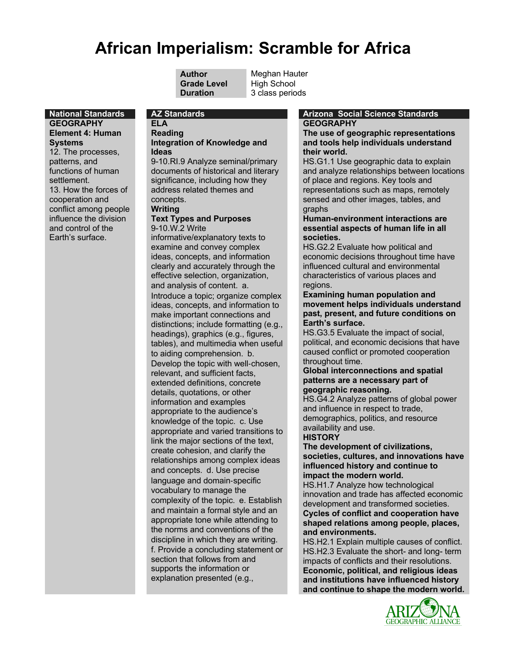# **African Imperialism: Scramble for Africa**

**Grade Level** High School

**Author** Meghan Hauter **Duration** 3 class periods

# **GEOGRAPHY**

**ELA Reading**

### **Integration of Knowledge and Ideas**

9-10.RI.9 Analyze seminal/primary documents of historical and literary significance, including how they address related themes and concepts.

#### **Writing**

#### **Text Types and Purposes** 9-10.W.2 Write

informative/explanatory texts to examine and convey complex ideas, concepts, and information clearly and accurately through the effective selection, organization, and analysis of content. a. Introduce a topic; organize complex ideas, concepts, and information to make important connections and distinctions; include formatting (e.g., headings), graphics (e.g., figures, tables), and multimedia when useful to aiding comprehension. b. Develop the topic with well-chosen, relevant, and sufficient facts, extended definitions, concrete details, quotations, or other information and examples appropriate to the audience's knowledge of the topic. c. Use appropriate and varied transitions to link the major sections of the text, create cohesion, and clarify the relationships among complex ideas and concepts. d. Use precise language and domain-specific vocabulary to manage the complexity of the topic. e. Establish and maintain a formal style and an appropriate tone while attending to the norms and conventions of the discipline in which they are writing. f. Provide a concluding statement or section that follows from and supports the information or explanation presented (e.g.,

### **National Standards AZ Standards Arizona Social Science Standards GEOGRAPHY**

**The use of geographic representations and tools help individuals understand their world.**

HS.G1.1 Use geographic data to explain and analyze relationships between locations of place and regions. Key tools and representations such as maps, remotely sensed and other images, tables, and graphs

### **Human-environment interactions are essential aspects of human life in all societies.**

HS.G2.2 Evaluate how political and economic decisions throughout time have influenced cultural and environmental characteristics of various places and regions.

#### **Examining human population and movement helps individuals understand past, present, and future conditions on Earth's surface.**

HS.G3.5 Evaluate the impact of social, political, and economic decisions that have caused conflict or promoted cooperation throughout time.

#### **Global interconnections and spatial patterns are a necessary part of geographic reasoning.**

HS.G4.2 Analyze patterns of global power and influence in respect to trade, demographics, politics, and resource availability and use.

### **HISTORY**

**The development of civilizations, societies, cultures, and innovations have influenced history and continue to impact the modern world.**

HS.H1.7 Analyze how technological innovation and trade has affected economic development and transformed societies. **Cycles of conflict and cooperation have shaped relations among people, places, and environments.**

HS.H2.1 Explain multiple causes of conflict. HS.H2.3 Evaluate the short- and long- term impacts of conflicts and their resolutions. **Economic, political, and religious ideas and institutions have influenced history and continue to shape the modern world.**



**Element 4: Human Systems** 12. The processes, patterns, and functions of human settlement. 13. How the forces of cooperation and conflict among people influence the division and control of the

Earth's surface.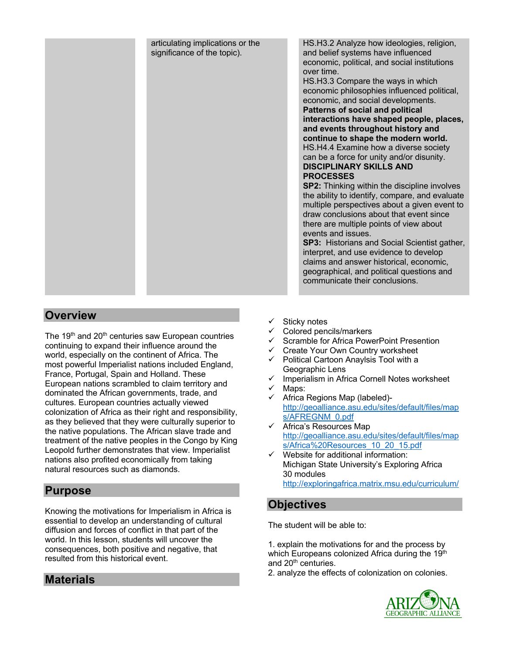

#### HS.H3.2 Analyze how ideologies, religion, and belief systems have influenced economic, political, and social institutions over time.

HS.H3.3 Compare the ways in which economic philosophies influenced political, economic, and social developments. **Patterns of social and political interactions have shaped people, places, and events throughout history and continue to shape the modern world.** HS.H4.4 Examine how a diverse society

can be a force for unity and/or disunity. **DISCIPLINARY SKILLS AND** 

### **SP2:** Thinking within the discipline involves the ability to identify, compare, and evaluate multiple perspectives about a given event to draw conclusions about that event since there are multiple points of view about events and issues.

**SP3:** Historians and Social Scientist gather, interpret, and use evidence to develop claims and answer historical, economic, geographical, and political questions and communicate their conclusions.

# **Overview**

The 19<sup>th</sup> and 20<sup>th</sup> centuries saw European countries continuing to expand their influence around the world, especially on the continent of Africa. The most powerful Imperialist nations included England, France, Portugal, Spain and Holland. These European nations scrambled to claim territory and dominated the African governments, trade, and cultures. European countries actually viewed colonization of Africa as their right and responsibility, as they believed that they were culturally superior to the native populations. The African slave trade and treatment of the native peoples in the Congo by King Leopold further demonstrates that view. Imperialist nations also profited economically from taking natural resources such as diamonds.

### **Purpose**

Knowing the motivations for Imperialism in Africa is essential to develop an understanding of cultural diffusion and forces of conflict in that part of the world. In this lesson, students will uncover the consequences, both positive and negative, that resulted from this historical event.

# **Materials**

- Sticky notes
- Colored pencils/markers
- $\checkmark$  Scramble for Africa PowerPoint Presention
- $\checkmark$  Create Your Own Country worksheet
- $\checkmark$  Political Cartoon Anaylsis Tool with a Geographic Lens
- $\checkmark$  Imperialism in Africa Cornell Notes worksheet  $\checkmark$  Maps:
- ✓ Maps:<br>✓ Africa
- Africa Regions Map (labeled)http://geoalliance.asu.edu/sites/default/files/map s/AFREGNM\_0.pdf
- $\checkmark$  Africa's Resources Map http://geoalliance.asu.edu/sites/default/files/map s/Africa%20Resources\_10\_20\_15.pdf
- Website for additional information: Michigan State University's Exploring Africa 30 modules http://exploringafrica.matrix.msu.edu/curriculum/

# **Objectives**

The student will be able to:

1. explain the motivations for and the process by which Europeans colonized Africa during the 19<sup>th</sup> and 20<sup>th</sup> centuries.

2. analyze the effects of colonization on colonies.

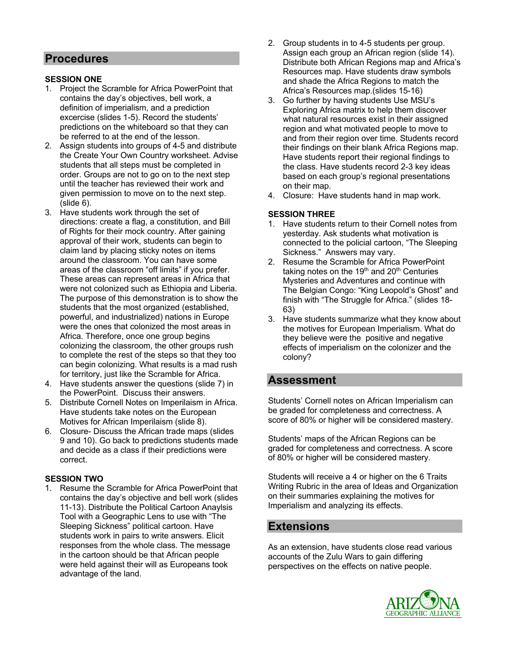### **Procedures**

### **SESSION ONE**

- 1. Project the Scramble for Africa PowerPoint that contains the day's objectives, bell work, a definition of imperialism, and a prediction excercise (slides 1-5). Record the students' predictions on the whiteboard so that they can be referred to at the end of the lesson.
- 2. Assign students into groups of 4-5 and distribute the Create Your Own Country worksheet. Advise students that all steps must be completed in order. Groups are not to go on to the next step until the teacher has reviewed their work and given permission to move on to the next step. (slide 6).
- 3. Have students work through the set of directions: create a flag, a constitution, and Bill of Rights for their mock country. After gaining approval of their work, students can begin to claim land by placing sticky notes on items around the classroom. You can have some areas of the classroom "off limits" if you prefer. These areas can represent areas in Africa that were not colonized such as Ethiopia and Liberia. The purpose of this demonstration is to show the students that the most organized (established, powerful, and industrialized) nations in Europe were the ones that colonized the most areas in Africa. Therefore, once one group begins colonizing the classroom, the other groups rush to complete the rest of the steps so that they too can begin colonizing. What results is a mad rush for territory, just like the Scramble for Africa.
- 4. Have students answer the questions (slide 7) in the PowerPoint. Discuss their answers.
- 5. Distribute Cornell Notes on Imperilaism in Africa. Have students take notes on the European Motives for African Imperilaism (slide 8).
- 6. Closure- Discuss the African trade maps (slides 9 and 10). Go back to predictions students made and decide as a class if their predictions were correct.

### **SESSION TWO**

1. Resume the Scramble for Africa PowerPoint that contains the day's objective and bell work (slides 11-13). Distribute the Political Cartoon Anaylsis Tool with a Geographic Lens to use with "The Sleeping Sickness" political cartoon. Have students work in pairs to write answers. Elicit responses from the whole class. The message in the cartoon should be that African people were held against their will as Europeans took advantage of the land.

- 2. Group students in to 4-5 students per group. Assign each group an African region (slide 14). Distribute both African Regions map and Africa's Resources map. Have students draw symbols and shade the Africa Regions to match the Africa's Resources map.(slides 15-16)
- 3. Go further by having students Use MSU's Exploring Africa matrix to help them discover what natural resources exist in their assigned region and what motivated people to move to and from their region over time. Students record their findings on their blank Africa Regions map. Have students report their regional findings to the class. Have students record 2-3 key ideas based on each group's regional presentations on their map.
- 4. Closure: Have students hand in map work.

### **SESSION THREE**

- 1. Have students return to their Cornell notes from yesterday. Ask students what motivation is connected to the policial cartoon, "The Sleeping Sickness." Answers may vary.
- 2. Resume the Scramble for Africa PowerPoint taking notes on the  $19<sup>th</sup>$  and  $20<sup>th</sup>$  Centuries Mysteries and Adventures and continue with The Belgian Congo: "King Leopold's Ghost" and finish with "The Struggle for Africa." (slides 18- 63)
- 3. Have students summarize what they know about the motives for European Imperialism. What do they believe were the positive and negative effects of imperialism on the colonizer and the colony?

### **Assessment**

Students' Cornell notes on African Imperialism can be graded for completeness and correctness. A score of 80% or higher will be considered mastery.

Students' maps of the African Regions can be graded for completeness and correctness. A score of 80% or higher will be considered mastery.

Students will receive a 4 or higher on the 6 Traits Writing Rubric in the area of Ideas and Organization on their summaries explaining the motives for Imperialism and analyzing its effects.

### **Extensions**

As an extension, have students close read various accounts of the Zulu Wars to gain differing perspectives on the effects on native people.